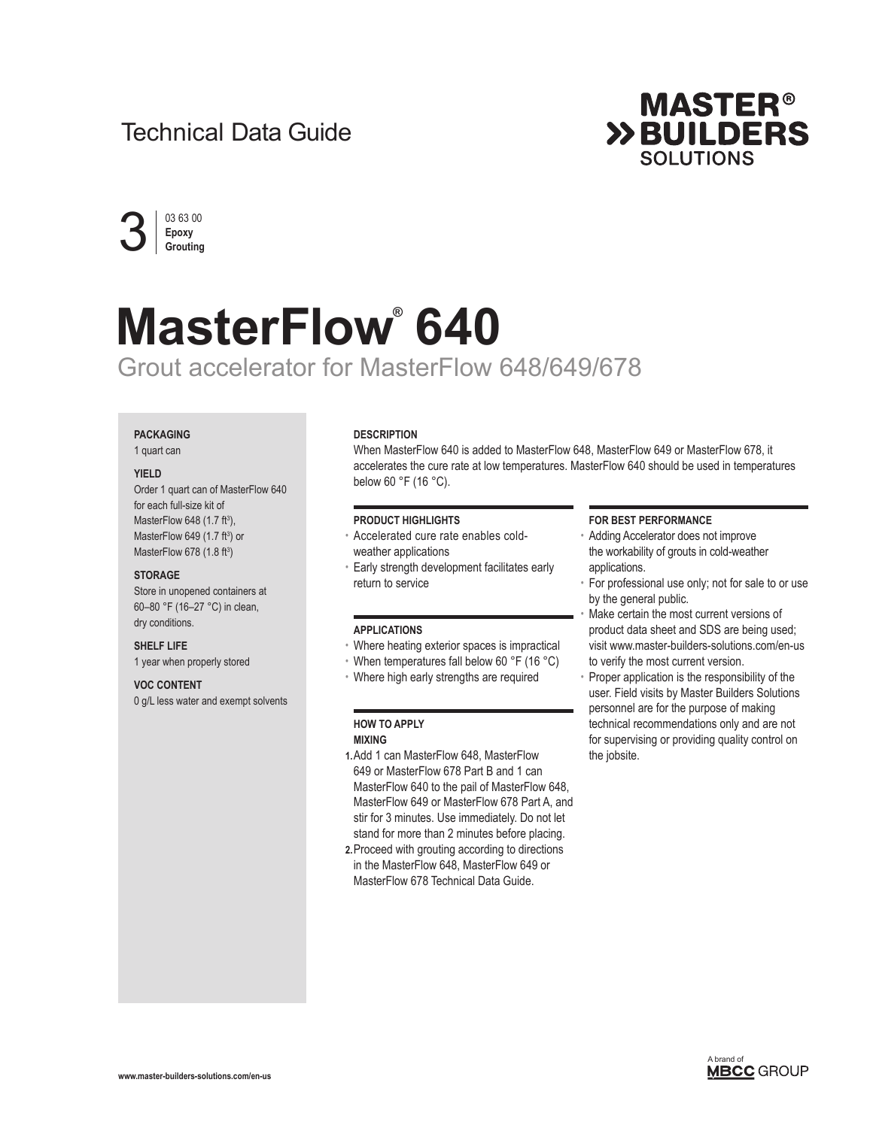# Technical Data Guide





# **MasterFlow® 640** Grout accelerator for MasterFlow 648/649/678

# **PACKAGING**

1 quart can

#### **YIELD**

Order 1 quart can of MasterFlow 640 for each full-size kit of MasterFlow 648 (1.7 ft<sup>3</sup>), MasterFlow 649  $(1.7 \text{ ft}^3)$  or MasterFlow 678 (1.8 ft<sup>3</sup>)

# **STORAGE**

Store in unopened containers at 60–80 °F (16–27 °C) in clean, dry conditions.

**SHELF LIFE**

1 year when properly stored

# **VOC CONTENT**

0 g/L less water and exempt solvents

#### **DESCRIPTION**

When MasterFlow 640 is added to MasterFlow 648, MasterFlow 649 or MasterFlow 678, it accelerates the cure rate at low temperatures. MasterFlow 640 should be used in temperatures below 60 °F (16 °C).

# **PRODUCT HIGHLIGHTS**

- Accelerated cure rate enables coldweather applications
- Early strength development facilitates early return to service

#### **APPLICATIONS**

- Where heating exterior spaces is impractical
- When temperatures fall below 60 °F (16 °C)
- Where high early strengths are required

# **HOW TO APPLY MIXING**

- **1.**Add 1 can MasterFlow 648, MasterFlow 649 or MasterFlow 678 Part B and 1 can MasterFlow 640 to the pail of MasterFlow 648, MasterFlow 649 or MasterFlow 678 Part A, and stir for 3 minutes. Use immediately. Do not let stand for more than 2 minutes before placing.
- **2.**Proceed with grouting according to directions in the MasterFlow 648, MasterFlow 649 or MasterFlow 678 Technical Data Guide.

#### **FOR BEST PERFORMANCE**

- Adding Accelerator does not improve the workability of grouts in cold-weather applications.
- For professional use only; not for sale to or use by the general public.
- Make certain the most current versions of product data sheet and SDS are being used; visit www.master-builders-solutions.com/en-us to verify the most current version.
- Proper application is the responsibility of the user. Field visits by Master Builders Solutions personnel are for the purpose of making technical recommendations only and are not for supervising or providing quality control on the jobsite.